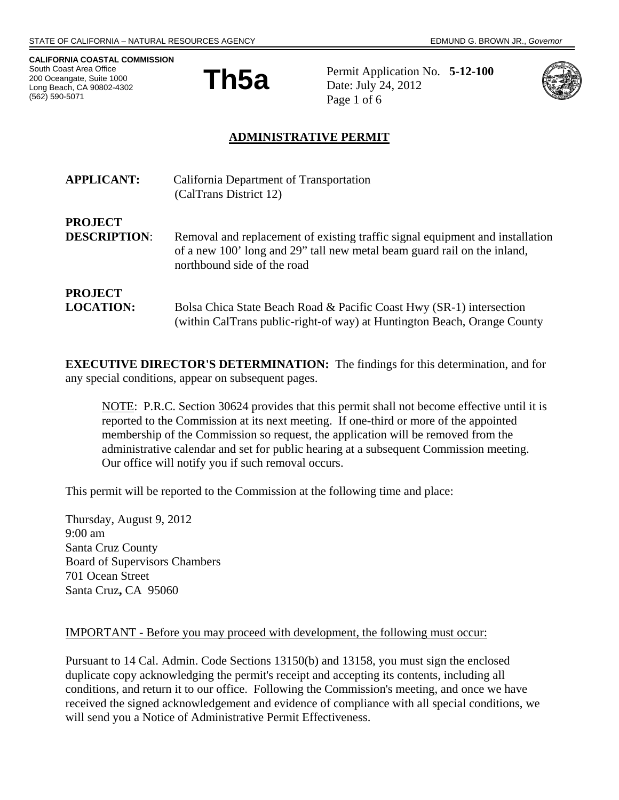**CALIFORNIA COASTAL COMMISSION**  South Coast Area Office 200 Oceangate, Suite 1000 Long Beach, CA 90802-4302 (562) 590-5071



**Th5a** Permit Application No. 5-12-100 Date: July 24, 2012 Page 1 of 6



## **ADMINISTRATIVE PERMIT**

| <b>APPLICANT:</b>                     | California Department of Transportation<br>(CalTrans District 12)                                                                                                                        |
|---------------------------------------|------------------------------------------------------------------------------------------------------------------------------------------------------------------------------------------|
| <b>PROJECT</b><br><b>DESCRIPTION:</b> | Removal and replacement of existing traffic signal equipment and installation<br>of a new 100' long and 29" tall new metal beam guard rail on the inland,<br>northbound side of the road |
| <b>PROJECT</b><br><b>LOCATION:</b>    | Bolsa Chica State Beach Road & Pacific Coast Hwy (SR-1) intersection<br>(within CalTrans public-right-of way) at Huntington Beach, Orange County                                         |

**EXECUTIVE DIRECTOR'S DETERMINATION:** The findings for this determination, and for any special conditions, appear on subsequent pages.

NOTE: P.R.C. Section 30624 provides that this permit shall not become effective until it is reported to the Commission at its next meeting. If one-third or more of the appointed membership of the Commission so request, the application will be removed from the administrative calendar and set for public hearing at a subsequent Commission meeting. Our office will notify you if such removal occurs.

This permit will be reported to the Commission at the following time and place:

Thursday, August 9, 2012 9:00 am Santa Cruz County Board of Supervisors Chambers 701 Ocean Street Santa Cruz**,** CA 95060

#### IMPORTANT - Before you may proceed with development, the following must occur:

Pursuant to 14 Cal. Admin. Code Sections 13150(b) and 13158, you must sign the enclosed duplicate copy acknowledging the permit's receipt and accepting its contents, including all conditions, and return it to our office. Following the Commission's meeting, and once we have received the signed acknowledgement and evidence of compliance with all special conditions, we will send you a Notice of Administrative Permit Effectiveness.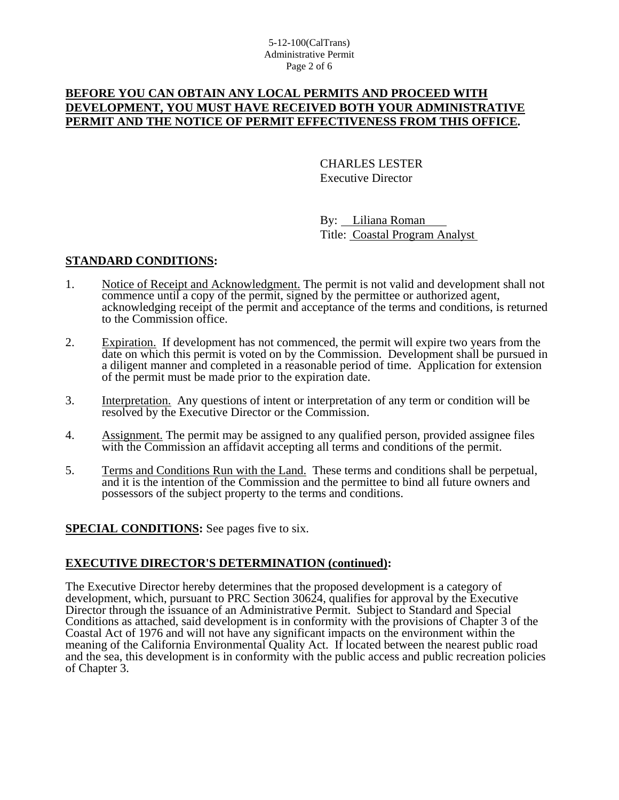## **BEFORE YOU CAN OBTAIN ANY LOCAL PERMITS AND PROCEED WITH DEVELOPMENT, YOU MUST HAVE RECEIVED BOTH YOUR ADMINISTRATIVE PERMIT AND THE NOTICE OF PERMIT EFFECTIVENESS FROM THIS OFFICE.**

 CHARLES LESTER Executive Director

 By: Liliana Roman Title: Coastal Program Analyst

## **STANDARD CONDITIONS:**

- 1. Notice of Receipt and Acknowledgment. The permit is not valid and development shall not commence until a copy of the permit, signed by the permittee or authorized agent, acknowledging receipt of the permit and acceptance of the terms and conditions, is returned to the Commission office.
- 2. Expiration. If development has not commenced, the permit will expire two years from the date on which this permit is voted on by the Commission. Development shall be pursued in a diligent manner and completed in a reasonable period of time. Application for extension of the permit must be made prior to the expiration date.
- 3. Interpretation. Any questions of intent or interpretation of any term or condition will be resolved by the Executive Director or the Commission.
- 4. Assignment. The permit may be assigned to any qualified person, provided assignee files with the Commission an affidavit accepting all terms and conditions of the permit.
- 5. Terms and Conditions Run with the Land. These terms and conditions shall be perpetual, and it is the intention of the Commission and the permittee to bind all future owners and possessors of the subject property to the terms and conditions.

## **SPECIAL CONDITIONS:** See pages five to six.

### **EXECUTIVE DIRECTOR'S DETERMINATION (continued):**

The Executive Director hereby determines that the proposed development is a category of development, which, pursuant to PRC Section 30624, qualifies for approval by the Executive Director through the issuance of an Administrative Permit. Subject to Standard and Special Conditions as attached, said development is in conformity with the provisions of Chapter 3 of the Coastal Act of 1976 and will not have any significant impacts on the environment within the meaning of the California Environmental Quality Act. If located between the nearest public road and the sea, this development is in conformity with the public access and public recreation policies of Chapter 3.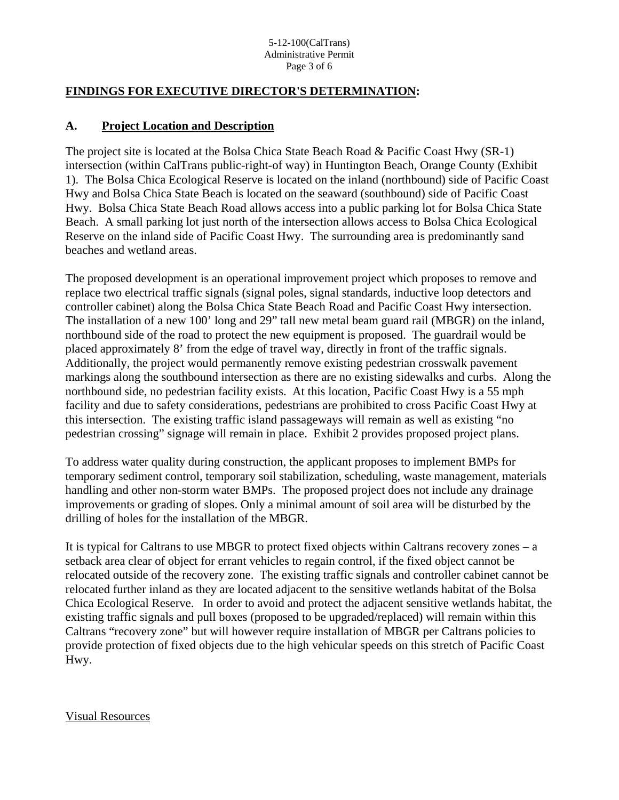#### 5-12-100(CalTrans) Administrative Permit Page 3 of 6

## **FINDINGS FOR EXECUTIVE DIRECTOR'S DETERMINATION:**

### **A. Project Location and Description**

The project site is located at the Bolsa Chica State Beach Road & Pacific Coast Hwy (SR-1) intersection (within CalTrans public-right-of way) in Huntington Beach, Orange County (Exhibit 1). The Bolsa Chica Ecological Reserve is located on the inland (northbound) side of Pacific Coast Hwy and Bolsa Chica State Beach is located on the seaward (southbound) side of Pacific Coast Hwy. Bolsa Chica State Beach Road allows access into a public parking lot for Bolsa Chica State Beach. A small parking lot just north of the intersection allows access to Bolsa Chica Ecological Reserve on the inland side of Pacific Coast Hwy. The surrounding area is predominantly sand beaches and wetland areas.

The proposed development is an operational improvement project which proposes to remove and replace two electrical traffic signals (signal poles, signal standards, inductive loop detectors and controller cabinet) along the Bolsa Chica State Beach Road and Pacific Coast Hwy intersection. The installation of a new 100' long and 29" tall new metal beam guard rail (MBGR) on the inland, northbound side of the road to protect the new equipment is proposed. The guardrail would be placed approximately 8' from the edge of travel way, directly in front of the traffic signals. Additionally, the project would permanently remove existing pedestrian crosswalk pavement markings along the southbound intersection as there are no existing sidewalks and curbs. Along the northbound side, no pedestrian facility exists. At this location, Pacific Coast Hwy is a 55 mph facility and due to safety considerations, pedestrians are prohibited to cross Pacific Coast Hwy at this intersection. The existing traffic island passageways will remain as well as existing "no pedestrian crossing" signage will remain in place. Exhibit 2 provides proposed project plans.

To address water quality during construction, the applicant proposes to implement BMPs for temporary sediment control, temporary soil stabilization, scheduling, waste management, materials handling and other non-storm water BMPs. The proposed project does not include any drainage improvements or grading of slopes. Only a minimal amount of soil area will be disturbed by the drilling of holes for the installation of the MBGR.

It is typical for Caltrans to use MBGR to protect fixed objects within Caltrans recovery zones – a setback area clear of object for errant vehicles to regain control, if the fixed object cannot be relocated outside of the recovery zone. The existing traffic signals and controller cabinet cannot be relocated further inland as they are located adjacent to the sensitive wetlands habitat of the Bolsa Chica Ecological Reserve. In order to avoid and protect the adjacent sensitive wetlands habitat, the existing traffic signals and pull boxes (proposed to be upgraded/replaced) will remain within this Caltrans "recovery zone" but will however require installation of MBGR per Caltrans policies to provide protection of fixed objects due to the high vehicular speeds on this stretch of Pacific Coast Hwy.

Visual Resources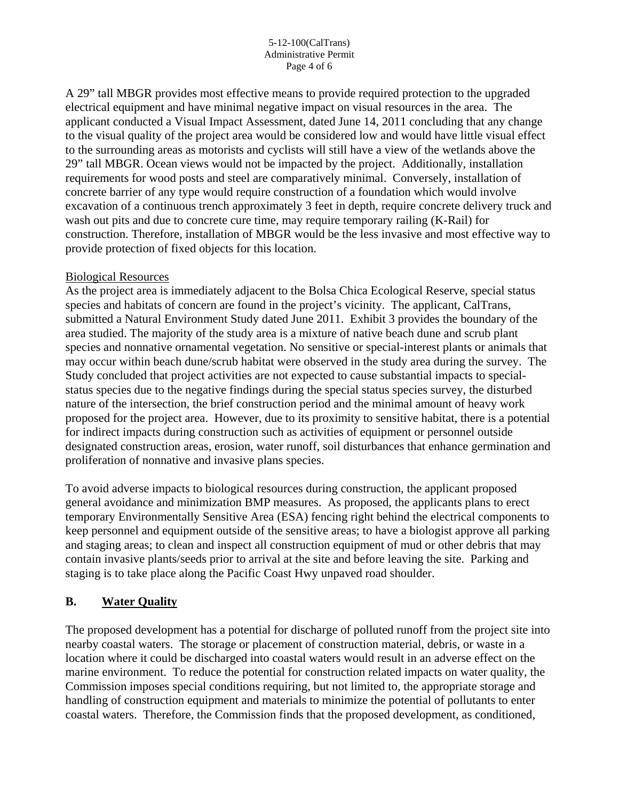#### 5-12-100(CalTrans) Administrative Permit Page 4 of 6

A 29" tall MBGR provides most effective means to provide required protection to the upgraded electrical equipment and have minimal negative impact on visual resources in the area. The applicant conducted a Visual Impact Assessment, dated June 14, 2011 concluding that any change to the visual quality of the project area would be considered low and would have little visual effect to the surrounding areas as motorists and cyclists will still have a view of the wetlands above the 29" tall MBGR. Ocean views would not be impacted by the project. Additionally, installation requirements for wood posts and steel are comparatively minimal. Conversely, installation of concrete barrier of any type would require construction of a foundation which would involve excavation of a continuous trench approximately 3 feet in depth, require concrete delivery truck and wash out pits and due to concrete cure time, may require temporary railing (K-Rail) for construction. Therefore, installation of MBGR would be the less invasive and most effective way to provide protection of fixed objects for this location.

### Biological Resources

As the project area is immediately adjacent to the Bolsa Chica Ecological Reserve, special status species and habitats of concern are found in the project's vicinity. The applicant, CalTrans, submitted a Natural Environment Study dated June 2011. Exhibit 3 provides the boundary of the area studied. The majority of the study area is a mixture of native beach dune and scrub plant species and nonnative ornamental vegetation. No sensitive or special-interest plants or animals that may occur within beach dune/scrub habitat were observed in the study area during the survey. The Study concluded that project activities are not expected to cause substantial impacts to specialstatus species due to the negative findings during the special status species survey, the disturbed nature of the intersection, the brief construction period and the minimal amount of heavy work proposed for the project area. However, due to its proximity to sensitive habitat, there is a potential for indirect impacts during construction such as activities of equipment or personnel outside designated construction areas, erosion, water runoff, soil disturbances that enhance germination and proliferation of nonnative and invasive plans species.

To avoid adverse impacts to biological resources during construction, the applicant proposed general avoidance and minimization BMP measures. As proposed, the applicants plans to erect temporary Environmentally Sensitive Area (ESA) fencing right behind the electrical components to keep personnel and equipment outside of the sensitive areas; to have a biologist approve all parking and staging areas; to clean and inspect all construction equipment of mud or other debris that may contain invasive plants/seeds prior to arrival at the site and before leaving the site. Parking and staging is to take place along the Pacific Coast Hwy unpaved road shoulder.

## **B. Water Quality**

The proposed development has a potential for discharge of polluted runoff from the project site into nearby coastal waters. The storage or placement of construction material, debris, or waste in a location where it could be discharged into coastal waters would result in an adverse effect on the marine environment. To reduce the potential for construction related impacts on water quality, the Commission imposes special conditions requiring, but not limited to, the appropriate storage and handling of construction equipment and materials to minimize the potential of pollutants to enter coastal waters. Therefore, the Commission finds that the proposed development, as conditioned,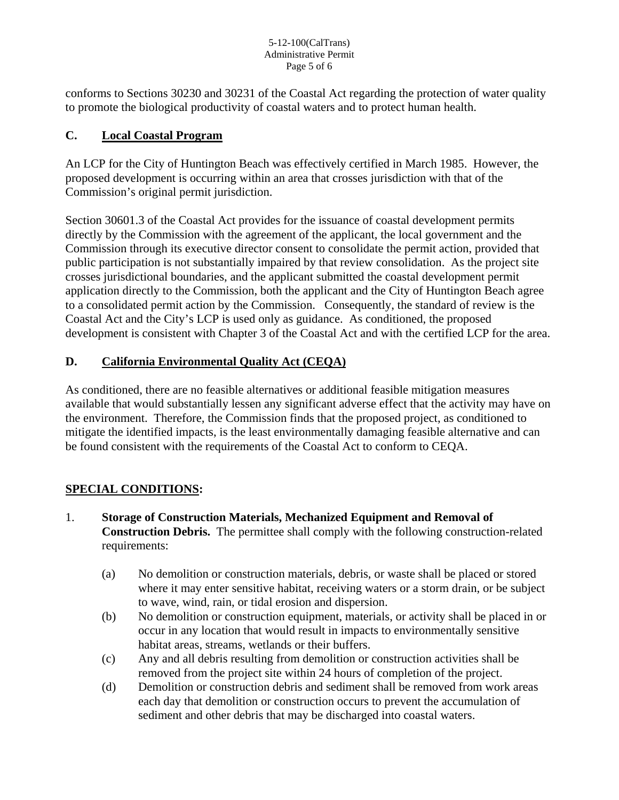#### 5-12-100(CalTrans) Administrative Permit Page 5 of 6

conforms to Sections 30230 and 30231 of the Coastal Act regarding the protection of water quality to promote the biological productivity of coastal waters and to protect human health.

## **C. Local Coastal Program**

An LCP for the City of Huntington Beach was effectively certified in March 1985. However, the proposed development is occurring within an area that crosses jurisdiction with that of the Commission's original permit jurisdiction.

Section 30601.3 of the Coastal Act provides for the issuance of coastal development permits directly by the Commission with the agreement of the applicant, the local government and the Commission through its executive director consent to consolidate the permit action, provided that public participation is not substantially impaired by that review consolidation. As the project site crosses jurisdictional boundaries, and the applicant submitted the coastal development permit application directly to the Commission, both the applicant and the City of Huntington Beach agree to a consolidated permit action by the Commission. Consequently, the standard of review is the Coastal Act and the City's LCP is used only as guidance. As conditioned, the proposed development is consistent with Chapter 3 of the Coastal Act and with the certified LCP for the area.

# **D. California Environmental Quality Act (CEQA)**

As conditioned, there are no feasible alternatives or additional feasible mitigation measures available that would substantially lessen any significant adverse effect that the activity may have on the environment. Therefore, the Commission finds that the proposed project, as conditioned to mitigate the identified impacts, is the least environmentally damaging feasible alternative and can be found consistent with the requirements of the Coastal Act to conform to CEQA.

## **SPECIAL CONDITIONS:**

- 1. **Storage of Construction Materials, Mechanized Equipment and Removal of Construction Debris.** The permittee shall comply with the following construction-related requirements:
	- (a) No demolition or construction materials, debris, or waste shall be placed or stored where it may enter sensitive habitat, receiving waters or a storm drain, or be subject to wave, wind, rain, or tidal erosion and dispersion.
	- (b) No demolition or construction equipment, materials, or activity shall be placed in or occur in any location that would result in impacts to environmentally sensitive habitat areas, streams, wetlands or their buffers.
	- (c) Any and all debris resulting from demolition or construction activities shall be removed from the project site within 24 hours of completion of the project.
	- (d) Demolition or construction debris and sediment shall be removed from work areas each day that demolition or construction occurs to prevent the accumulation of sediment and other debris that may be discharged into coastal waters.